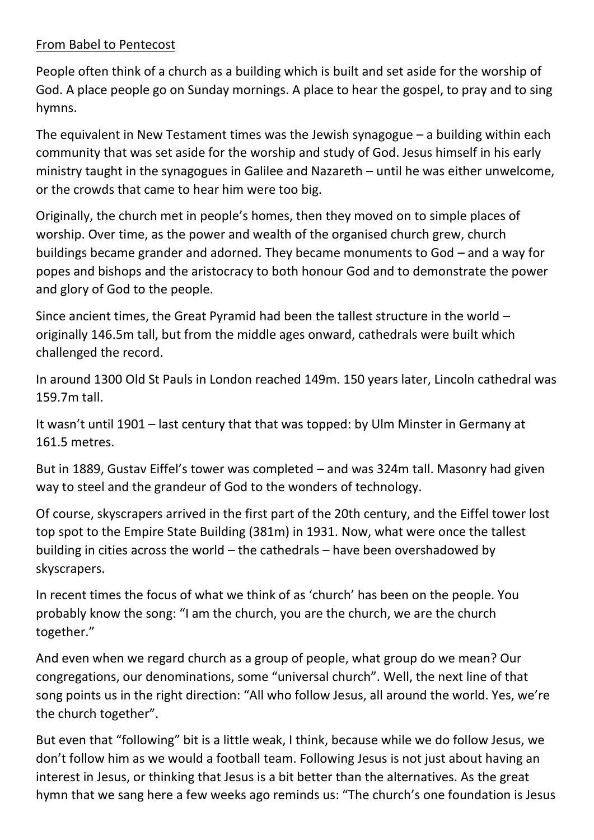## From Babel to Pentecost

People often think of a church as a building which is built and set aside for the worship of God. A place people go on Sunday mornings. A place to hear the gospel, to pray and to sing hymns.

The equivalent in New Testament times was the Jewish synagogue  $-$  a building within each community that was set aside for the worship and study of God. Jesus himself in his early ministry taught in the synagogues in Galilee and Nazareth – until he was either unwelcome, or the crowds that came to hear him were too big.

Originally, the church met in people's homes, then they moved on to simple places of worship. Over time, as the power and wealth of the organised church grew, church buildings became grander and adorned. They became monuments to God – and a way for popes and bishops and the aristocracy to both honour God and to demonstrate the power and glory of God to the people.

Since ancient times, the Great Pyramid had been the tallest structure in the world – originally 146.5m tall, but from the middle ages onward, cathedrals were built which challenged the record.

In around 1300 Old St Pauls in London reached 149m. 150 years later, Lincoln cathedral was 159.7m tall.

It wasn't until 1901 – last century that that was topped: by Ulm Minster in Germany at 161.5 metres.

But in 1889, Gustav Eiffel's tower was completed – and was 324m tall. Masonry had given way to steel and the grandeur of God to the wonders of technology.

Of course, skyscrapers arrived in the first part of the 20th century, and the Eiffel tower lost top spot to the Empire State Building (381m) in 1931. Now, what were once the tallest building in cities across the world – the cathedrals – have been overshadowed by skyscrapers.

In recent times the focus of what we think of as 'church' has been on the people. You probably know the song: "I am the church, you are the church, we are the church together."

And even when we regard church as a group of people, what group do we mean? Our congregations, our denominations, some "universal church". Well, the next line of that song points us in the right direction: "All who follow Jesus, all around the world. Yes, we're the church together".

But even that "following" bit is a little weak, I think, because while we do follow Jesus, we don't follow him as we would a football team. Following Jesus is not just about having an interest in Jesus, or thinking that Jesus is a bit better than the alternatives. As the great hymn that we sang here a few weeks ago reminds us: "The church's one foundation is Jesus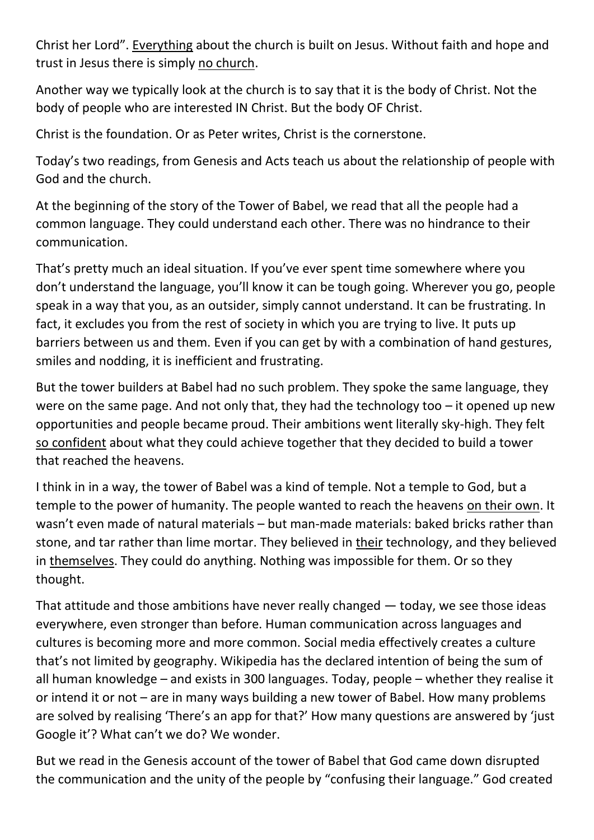Christ her Lord". Everything about the church is built on Jesus. Without faith and hope and trust in Jesus there is simply no church.

Another way we typically look at the church is to say that it is the body of Christ. Not the body of people who are interested IN Christ. But the body OF Christ.

Christ is the foundation. Or as Peter writes, Christ is the cornerstone.

Today's two readings, from Genesis and Acts teach us about the relationship of people with God and the church.

At the beginning of the story of the Tower of Babel, we read that all the people had a common language. They could understand each other. There was no hindrance to their communication.

That's pretty much an ideal situation. If you've ever spent time somewhere where you don't understand the language, you'll know it can be tough going. Wherever you go, people speak in a way that you, as an outsider, simply cannot understand. It can be frustrating. In fact, it excludes you from the rest of society in which you are trying to live. It puts up barriers between us and them. Even if you can get by with a combination of hand gestures, smiles and nodding, it is inefficient and frustrating.

But the tower builders at Babel had no such problem. They spoke the same language, they were on the same page. And not only that, they had the technology too  $-$  it opened up new opportunities and people became proud. Their ambitions went literally sky-high. They felt so confident about what they could achieve together that they decided to build a tower that reached the heavens.

I think in in a way, the tower of Babel was a kind of temple. Not a temple to God, but a temple to the power of humanity. The people wanted to reach the heavens on their own. It wasn't even made of natural materials – but man-made materials: baked bricks rather than stone, and tar rather than lime mortar. They believed in their technology, and they believed in themselves. They could do anything. Nothing was impossible for them. Or so they thought.

That attitude and those ambitions have never really changed — today, we see those ideas everywhere, even stronger than before. Human communication across languages and cultures is becoming more and more common. Social media effectively creates a culture that's not limited by geography. Wikipedia has the declared intention of being the sum of all human knowledge – and exists in 300 languages. Today, people – whether they realise it or intend it or not – are in many ways building a new tower of Babel. How many problems are solved by realising 'There's an app for that?' How many questions are answered by 'just Google it'? What can't we do? We wonder.

But we read in the Genesis account of the tower of Babel that God came down disrupted the communication and the unity of the people by "confusing their language." God created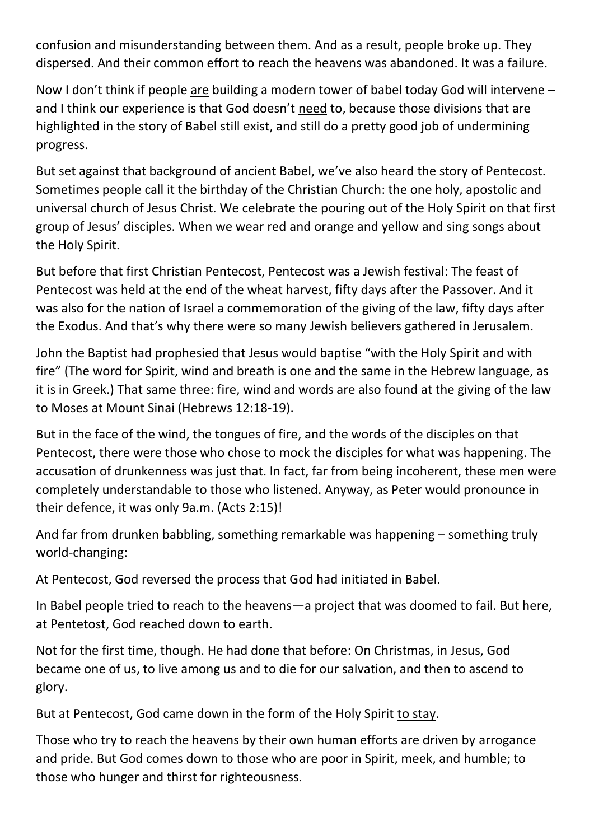confusion and misunderstanding between them. And as a result, people broke up. They dispersed. And their common effort to reach the heavens was abandoned. It was a failure.

Now I don't think if people are building a modern tower of babel today God will intervene – and I think our experience is that God doesn't need to, because those divisions that are highlighted in the story of Babel still exist, and still do a pretty good job of undermining progress.

But set against that background of ancient Babel, we've also heard the story of Pentecost. Sometimes people call it the birthday of the Christian Church: the one holy, apostolic and universal church of Jesus Christ. We celebrate the pouring out of the Holy Spirit on that first group of Jesus' disciples. When we wear red and orange and yellow and sing songs about the Holy Spirit.

But before that first Christian Pentecost, Pentecost was a Jewish festival: The feast of Pentecost was held at the end of the wheat harvest, fifty days after the Passover. And it was also for the nation of Israel a commemoration of the giving of the law, fifty days after the Exodus. And that's why there were so many Jewish believers gathered in Jerusalem.

John the Baptist had prophesied that Jesus would baptise "with the Holy Spirit and with fire" (The word for Spirit, wind and breath is one and the same in the Hebrew language, as it is in Greek.) That same three: fire, wind and words are also found at the giving of the law to Moses at Mount Sinai (Hebrews 12:18-19).

But in the face of the wind, the tongues of fire, and the words of the disciples on that Pentecost, there were those who chose to mock the disciples for what was happening. The accusation of drunkenness was just that. In fact, far from being incoherent, these men were completely understandable to those who listened. Anyway, as Peter would pronounce in their defence, it was only 9a.m. (Acts 2:15)!

And far from drunken babbling, something remarkable was happening – something truly world-changing:

At Pentecost, God reversed the process that God had initiated in Babel.

In Babel people tried to reach to the heavens—a project that was doomed to fail. But here, at Pentetost, God reached down to earth.

Not for the first time, though. He had done that before: On Christmas, in Jesus, God became one of us, to live among us and to die for our salvation, and then to ascend to glory.

But at Pentecost, God came down in the form of the Holy Spirit to stay.

Those who try to reach the heavens by their own human efforts are driven by arrogance and pride. But God comes down to those who are poor in Spirit, meek, and humble; to those who hunger and thirst for righteousness.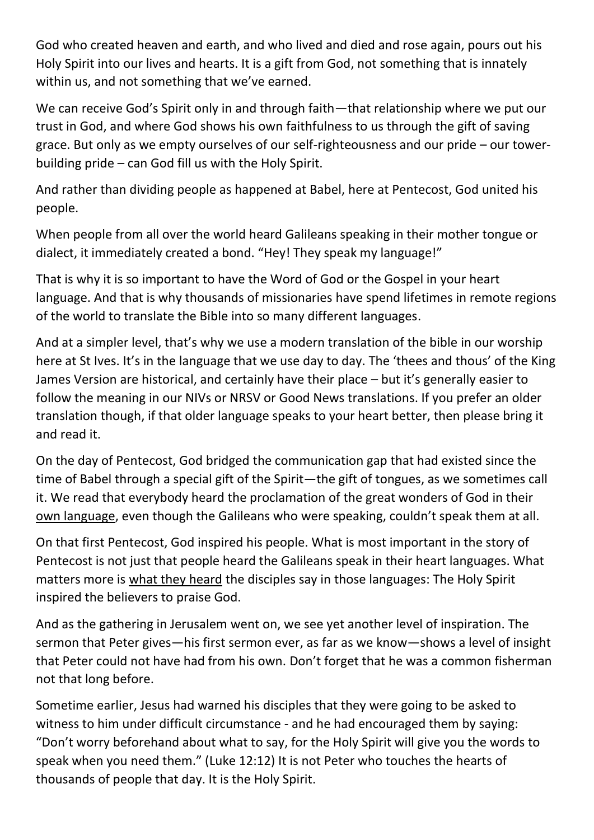God who created heaven and earth, and who lived and died and rose again, pours out his Holy Spirit into our lives and hearts. It is a gift from God, not something that is innately within us, and not something that we've earned.

We can receive God's Spirit only in and through faith—that relationship where we put our trust in God, and where God shows his own faithfulness to us through the gift of saving grace. But only as we empty ourselves of our self-righteousness and our pride – our towerbuilding pride – can God fill us with the Holy Spirit.

And rather than dividing people as happened at Babel, here at Pentecost, God united his people.

When people from all over the world heard Galileans speaking in their mother tongue or dialect, it immediately created a bond. "Hey! They speak my language!"

That is why it is so important to have the Word of God or the Gospel in your heart language. And that is why thousands of missionaries have spend lifetimes in remote regions of the world to translate the Bible into so many different languages.

And at a simpler level, that's why we use a modern translation of the bible in our worship here at St Ives. It's in the language that we use day to day. The 'thees and thous' of the King James Version are historical, and certainly have their place – but it's generally easier to follow the meaning in our NIVs or NRSV or Good News translations. If you prefer an older translation though, if that older language speaks to your heart better, then please bring it and read it.

On the day of Pentecost, God bridged the communication gap that had existed since the time of Babel through a special gift of the Spirit—the gift of tongues, as we sometimes call it. We read that everybody heard the proclamation of the great wonders of God in their own language, even though the Galileans who were speaking, couldn't speak them at all.

On that first Pentecost, God inspired his people. What is most important in the story of Pentecost is not just that people heard the Galileans speak in their heart languages. What matters more is what they heard the disciples say in those languages: The Holy Spirit inspired the believers to praise God.

And as the gathering in Jerusalem went on, we see yet another level of inspiration. The sermon that Peter gives—his first sermon ever, as far as we know—shows a level of insight that Peter could not have had from his own. Don't forget that he was a common fisherman not that long before.

Sometime earlier, Jesus had warned his disciples that they were going to be asked to witness to him under difficult circumstance - and he had encouraged them by saying: "Don't worry beforehand about what to say, for the Holy Spirit will give you the words to speak when you need them." (Luke 12:12) It is not Peter who touches the hearts of thousands of people that day. It is the Holy Spirit.